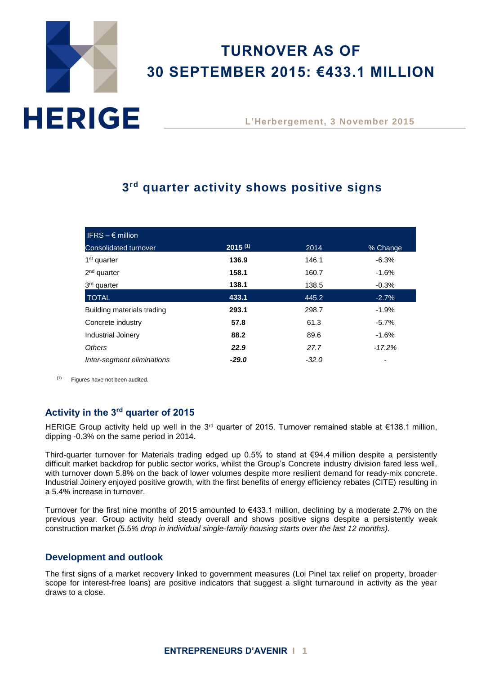# **HERIGE**

# **TURNOVER AS OF 30 SEPTEMBER 2015: €433.1 MILLION**

**L'Herbergement, 3 November 2015**

# **3 rd quarter activity shows positive signs**

| IFRS $- \epsilon$ million    |              |         |          |
|------------------------------|--------------|---------|----------|
| <b>Consolidated turnover</b> | $2015^{(1)}$ | 2014    | % Change |
| 1 <sup>st</sup> quarter      | 136.9        | 146.1   | $-6.3%$  |
| $2nd$ quarter                | 158.1        | 160.7   | $-1.6%$  |
| 3 <sup>rd</sup> quarter      | 138.1        | 138.5   | $-0.3%$  |
| <b>TOTAL</b>                 | 433.1        | 445.2   | $-2.7%$  |
| Building materials trading   | 293.1        | 298.7   | $-1.9%$  |
| Concrete industry            | 57.8         | 61.3    | $-5.7\%$ |
| <b>Industrial Joinery</b>    | 88.2         | 89.6    | $-1.6%$  |
| Others                       | 22.9         | 27.7    | $-17.2%$ |
| Inter-segment eliminations   | $-29.0$      | $-32.0$ |          |

 $(1)$  Figures have not been audited.

# **Activity in the 3 rd quarter of 2015**

HERIGE Group activity held up well in the 3<sup>rd</sup> quarter of 2015. Turnover remained stable at €138.1 million, dipping -0.3% on the same period in 2014.

Third-quarter turnover for Materials trading edged up 0.5% to stand at  $\epsilon$ 94.4 million despite a persistently difficult market backdrop for public sector works, whilst the Group's Concrete industry division fared less well, with turnover down 5.8% on the back of lower volumes despite more resilient demand for ready-mix concrete. Industrial Joinery enjoyed positive growth, with the first benefits of energy efficiency rebates (CITE) resulting in a 5.4% increase in turnover.

Turnover for the first nine months of 2015 amounted to €433.1 million, declining by a moderate 2.7% on the previous year. Group activity held steady overall and shows positive signs despite a persistently weak construction market *(5.5% drop in individual single-family housing starts over the last 12 months).*

## **Development and outlook**

The first signs of a market recovery linked to government measures (Loi Pinel tax relief on property, broader scope for interest-free loans) are positive indicators that suggest a slight turnaround in activity as the year draws to a close.